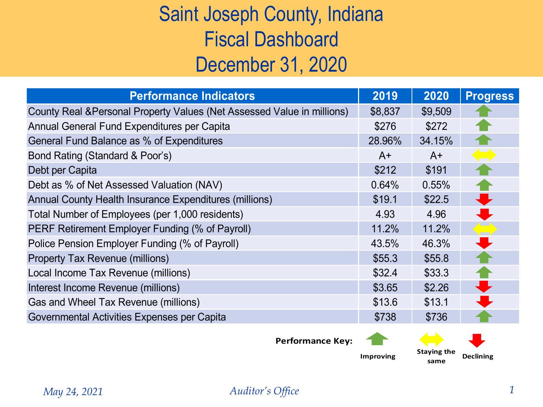## Saint Joseph County, Indiana Fiscal Dashboard December 31, 2020

| <b>Performance Indicators</b>                                           | 2019    | 2020    | <b>Progress</b>                                |
|-------------------------------------------------------------------------|---------|---------|------------------------------------------------|
| County Real & Personal Property Values (Net Assessed Value in millions) | \$8,837 | \$9,509 |                                                |
| Annual General Fund Expenditures per Capita                             | \$276   | \$272   |                                                |
| General Fund Balance as % of Expenditures                               | 28.96%  | 34.15%  |                                                |
| Bond Rating (Standard & Poor's)                                         | $A+$    | $A+$    |                                                |
| Debt per Capita                                                         | \$212   | \$191   |                                                |
| Debt as % of Net Assessed Valuation (NAV)                               | 0.64%   | 0.55%   |                                                |
| Annual County Health Insurance Expenditures (millions)                  | \$19.1  | \$22.5  |                                                |
| Total Number of Employees (per 1,000 residents)                         | 4.93    | 4.96    | ┻                                              |
| PERF Retirement Employer Funding (% of Payroll)                         | 11.2%   | 11.2%   | $\begin{pmatrix} 1 & 1 \\ 1 & 1 \end{pmatrix}$ |
| Police Pension Employer Funding (% of Payroll)                          | 43.5%   | 46.3%   |                                                |
| <b>Property Tax Revenue (millions)</b>                                  | \$55.3  | \$55.8  |                                                |
| Local Income Tax Revenue (millions)                                     | \$32.4  | \$33.3  |                                                |
| Interest Income Revenue (millions)                                      | \$3.65  | \$2.26  |                                                |
| Gas and Wheel Tax Revenue (millions)                                    | \$13.6  | \$13.1  |                                                |
| Governmental Activities Expenses per Capita                             | \$738   | \$736   |                                                |

**Performance Key:** 

**Improving Staying the same**

**Declining**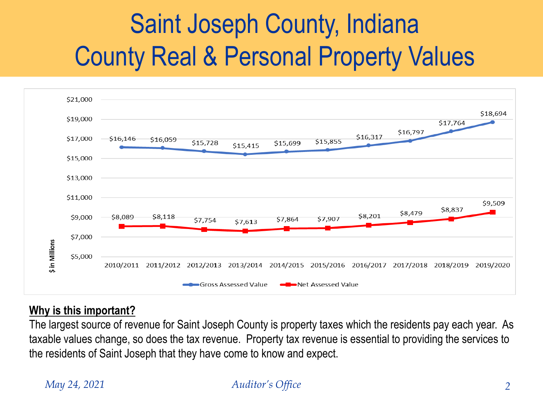# Saint Joseph County, Indiana County Real & Personal Property Values



### **Why is this important?**

The largest source of revenue for Saint Joseph County is property taxes which the residents pay each year. As taxable values change, so does the tax revenue. Property tax revenue is essential to providing the services to the residents of Saint Joseph that they have come to know and expect.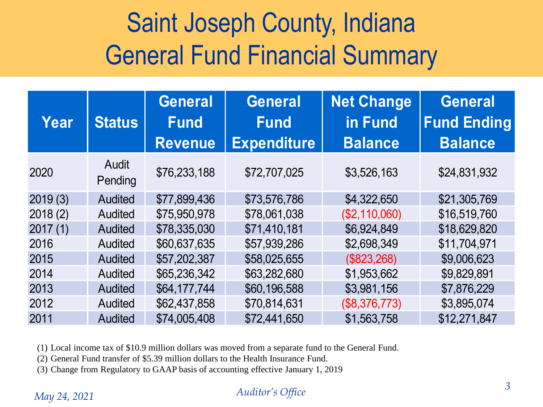# Saint Joseph County, Indiana General Fund Financial Summary

| Year    | <b>Status</b>    | <b>General</b><br><b>Fund</b><br><b>Revenue</b> | <b>General</b><br><b>Fund</b><br><b>Expenditure</b> | <b>Net Change</b><br>in Fund<br><b>Balance</b> | <b>General</b><br><b>Fund Ending</b><br><b>Balance</b> |
|---------|------------------|-------------------------------------------------|-----------------------------------------------------|------------------------------------------------|--------------------------------------------------------|
| 2020    | Audit<br>Pending | \$76,233,188                                    | \$72,707,025                                        | \$3,526,163                                    | \$24,831,932                                           |
| 2019(3) | <b>Audited</b>   | \$77,899,436                                    | \$73,576,786                                        | \$4,322,650                                    | \$21,305,769                                           |
| 2018(2) | Audited          | \$75,950,978                                    | \$78,061,038                                        | (\$2,110,060)                                  | \$16,519,760                                           |
| 2017(1) | <b>Audited</b>   | \$78,335,030                                    | \$71,410,181                                        | \$6,924,849                                    | \$18,629,820                                           |
| 2016    | Audited          | \$60,637,635                                    | \$57,939,286                                        | \$2,698,349                                    | \$11,704,971                                           |
| 2015    | <b>Audited</b>   | \$57,202,387                                    | \$58,025,655                                        | (\$823,268)                                    | \$9,006,623                                            |
| 2014    | <b>Audited</b>   | \$65,236,342                                    | \$63,282,680                                        | \$1,953,662                                    | \$9,829,891                                            |
| 2013    | <b>Audited</b>   | \$64,177,744                                    | \$60,196,588                                        | \$3,981,156                                    | \$7,876,229                                            |
| 2012    | Audited          | \$62,437,858                                    | \$70,814,631                                        | (\$8,376,773)                                  | \$3,895,074                                            |
| 2011    | <b>Audited</b>   | \$74,005,408                                    | \$72,441,650                                        | \$1,563,758                                    | \$12,271,847                                           |

(1) Local income tax of \$10.9 million dollars was moved from a separate fund to the General Fund.

(2) General Fund transfer of \$5.39 million dollars to the Health Insurance Fund.

(3) Change from Regulatory to GAAP basis of accounting effective January 1, 2019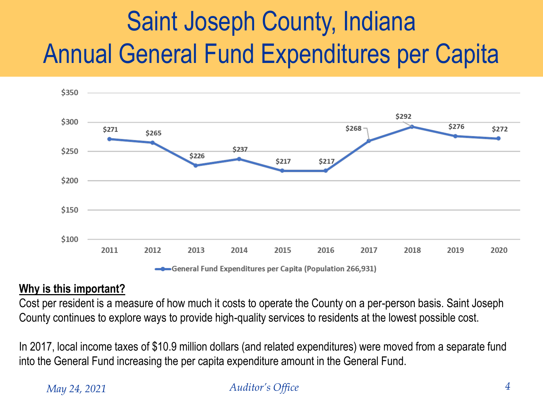# Saint Joseph County, Indiana Annual General Fund Expenditures per Capita



General Fund Expenditures per Capita (Population 266,931)

## **Why is this important?**

Cost per resident is a measure of how much it costs to operate the County on a per-person basis. Saint Joseph County continues to explore ways to provide high-quality services to residents at the lowest possible cost.

In 2017, local income taxes of \$10.9 million dollars (and related expenditures) were moved from a separate fund into the General Fund increasing the per capita expenditure amount in the General Fund.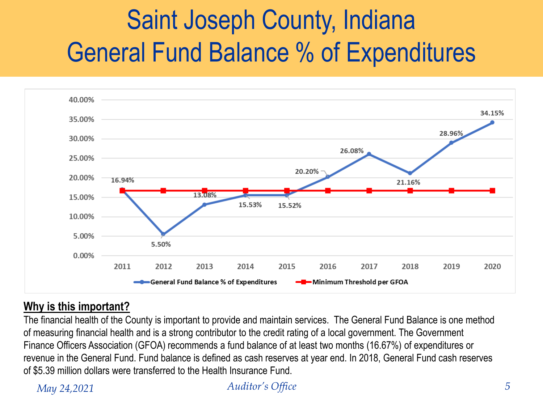# Saint Joseph County, Indiana General Fund Balance % of Expenditures



## **Why is this important?**

The financial health of the County is important to provide and maintain services. The General Fund Balance is one method of measuring financial health and is a strong contributor to the credit rating of a local government. The Government Finance Officers Association (GFOA) recommends a fund balance of at least two months (16.67%) of expenditures or revenue in the General Fund. Fund balance is defined as cash reserves at year end. In 2018, General Fund cash reserves of \$5.39 million dollars were transferred to the Health Insurance Fund.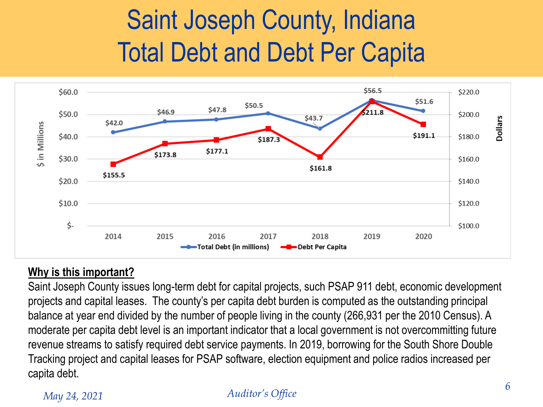# Saint Joseph County, Indiana Total Debt and Debt Per Capita



## **Why is this important?**

Saint Joseph County issues long-term debt for capital projects, such PSAP 911 debt, economic development projects and capital leases. The county's per capita debt burden is computed as the outstanding principal balance at year end divided by the number of people living in the county (266,931 per the 2010 Census). A moderate per capita debt level is an important indicator that a local government is not overcommitting future revenue streams to satisfy required debt service payments. In 2019, borrowing for the South Shore Double Tracking project and capital leases for PSAP software, election equipment and police radios increased per capita debt.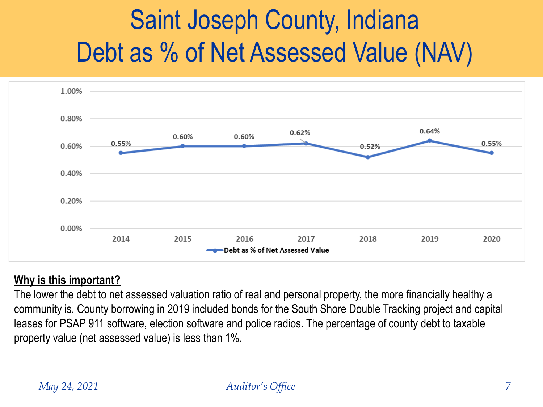# Saint Joseph County, Indiana Debt as % of Net Assessed Value (NAV)



### **Why is this important?**

The lower the debt to net assessed valuation ratio of real and personal property, the more financially healthy a community is. County borrowing in 2019 included bonds for the South Shore Double Tracking project and capital leases for PSAP 911 software, election software and police radios. The percentage of county debt to taxable property value (net assessed value) is less than 1%.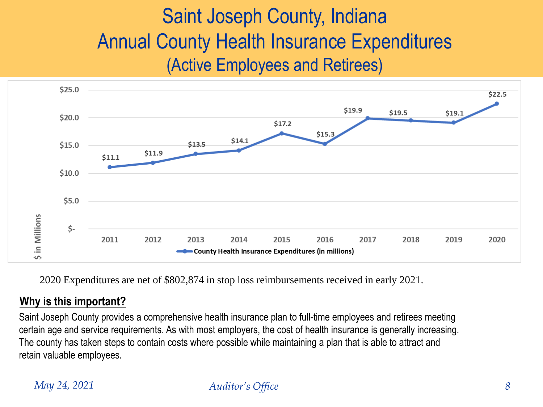## Saint Joseph County, Indiana Annual County Health Insurance Expenditures (Active Employees and Retirees)



2020 Expenditures are net of \$802,874 in stop loss reimbursements received in early 2021.

### **Why is this important?**

Saint Joseph County provides a comprehensive health insurance plan to full-time employees and retirees meeting certain age and service requirements. As with most employers, the cost of health insurance is generally increasing. The county has taken steps to contain costs where possible while maintaining a plan that is able to attract and retain valuable employees.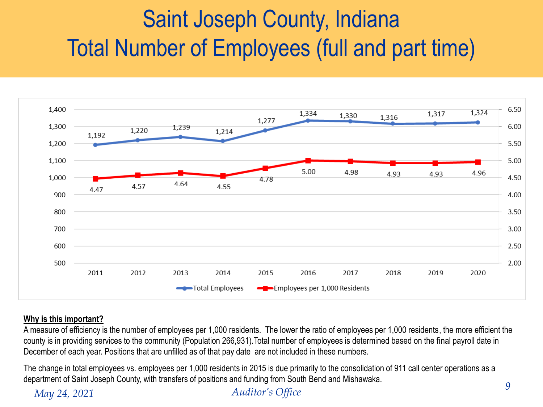## Saint Joseph County, Indiana Total Number of Employees (full and part time)



### **Why is this important?**

A measure of efficiency is the number of employees per 1,000 residents. The lower the ratio of employees per 1,000 residents, the more efficient the county is in providing services to the community (Population 266,931).Total number of employees is determined based on the final payroll date in December of each year. Positions that are unfilled as of that pay date are not included in these numbers.

The change in total employees vs. employees per 1,000 residents in 2015 is due primarily to the consolidation of 911 call center operations as a department of Saint Joseph County, with transfers of positions and funding from South Bend and Mishawaka.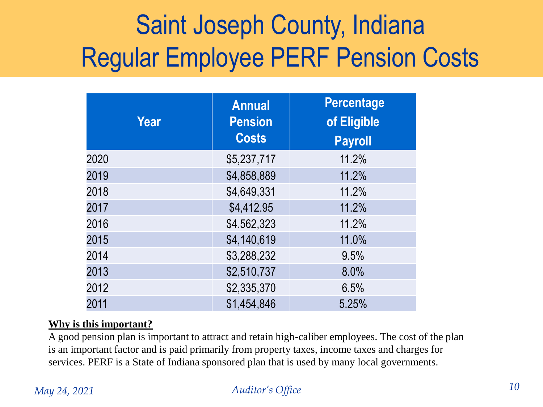# Saint Joseph County, Indiana Regular Employee PERF Pension Costs

| Year | <b>Annual</b><br><b>Pension</b><br><b>Costs</b> | <b>Percentage</b><br>of Eligible<br><b>Payroll</b> |
|------|-------------------------------------------------|----------------------------------------------------|
| 2020 | \$5,237,717                                     | 11.2%                                              |
| 2019 | \$4,858,889                                     | 11.2%                                              |
| 2018 | \$4,649,331                                     | 11.2%                                              |
| 2017 | \$4,412.95                                      | 11.2%                                              |
| 2016 | \$4.562,323                                     | 11.2%                                              |
| 2015 | \$4,140,619                                     | 11.0%                                              |
| 2014 | \$3,288,232                                     | 9.5%                                               |
| 2013 | \$2,510,737                                     | 8.0%                                               |
| 2012 | \$2,335,370                                     | 6.5%                                               |
| 2011 | \$1,454,846                                     | 5.25%                                              |

### **Why is this important?**

A good pension plan is important to attract and retain high-caliber employees. The cost of the plan is an important factor and is paid primarily from property taxes, income taxes and charges for services. PERF is a State of Indiana sponsored plan that is used by many local governments.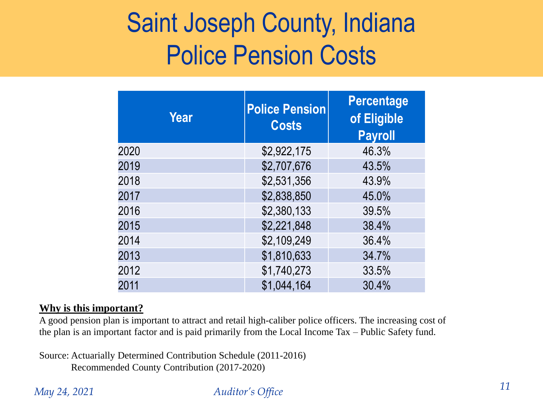## Saint Joseph County, Indiana Police Pension Costs

| Year | <b>Police Pension</b><br><b>Costs</b> | <b>Percentage</b><br>of Eligible<br><b>Payroll</b> |
|------|---------------------------------------|----------------------------------------------------|
| 2020 | \$2,922,175                           | 46.3%                                              |
| 2019 | \$2,707,676                           | 43.5%                                              |
| 2018 | \$2,531,356                           | 43.9%                                              |
| 2017 | \$2,838,850                           | 45.0%                                              |
| 2016 | \$2,380,133                           | 39.5%                                              |
| 2015 | \$2,221,848                           | 38.4%                                              |
| 2014 | \$2,109,249                           | 36.4%                                              |
| 2013 | \$1,810,633                           | 34.7%                                              |
| 2012 | \$1,740,273                           | 33.5%                                              |
| 2011 | \$1,044,164                           | 30.4%                                              |

### **Why is this important?**

A good pension plan is important to attract and retail high-caliber police officers. The increasing cost of the plan is an important factor and is paid primarily from the Local Income Tax – Public Safety fund.

Source: Actuarially Determined Contribution Schedule (2011-2016) Recommended County Contribution (2017-2020)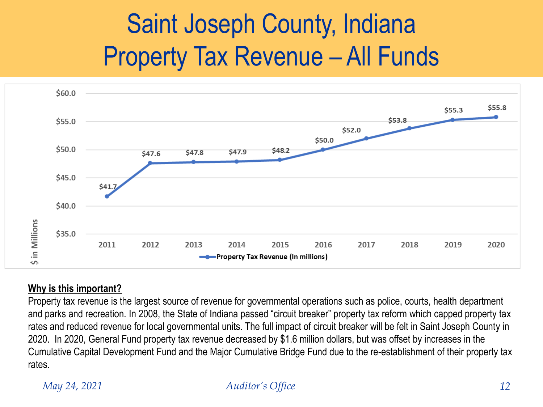# Saint Joseph County, Indiana Property Tax Revenue – All Funds



### **Why is this important?**

Property tax revenue is the largest source of revenue for governmental operations such as police, courts, health department and parks and recreation. In 2008, the State of Indiana passed "circuit breaker" property tax reform which capped property tax rates and reduced revenue for local governmental units. The full impact of circuit breaker will be felt in Saint Joseph County in 2020. In 2020, General Fund property tax revenue decreased by \$1.6 million dollars, but was offset by increases in the Cumulative Capital Development Fund and the Major Cumulative Bridge Fund due to the re-establishment of their property tax rates.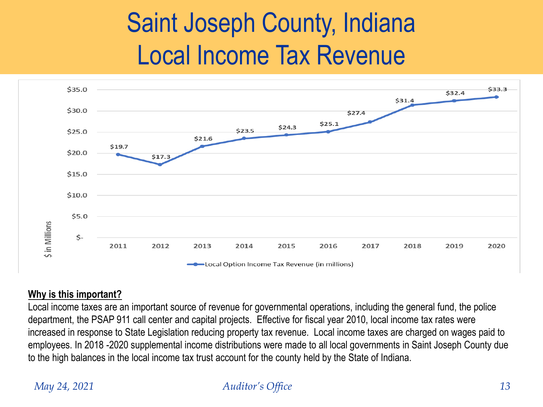## Saint Joseph County, Indiana Local Income Tax Revenue



### **Why is this important?**

Local income taxes are an important source of revenue for governmental operations, including the general fund, the police department, the PSAP 911 call center and capital projects. Effective for fiscal year 2010, local income tax rates were increased in response to State Legislation reducing property tax revenue. Local income taxes are charged on wages paid to employees. In 2018 -2020 supplemental income distributions were made to all local governments in Saint Joseph County due to the high balances in the local income tax trust account for the county held by the State of Indiana.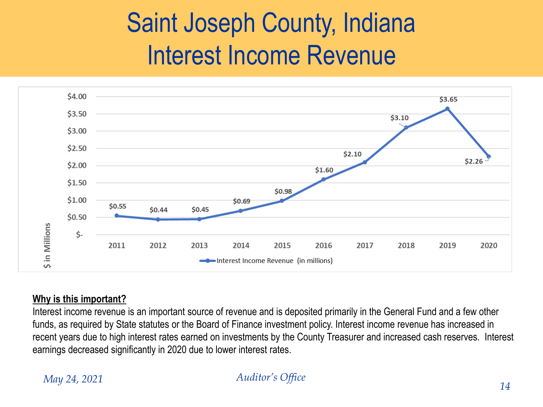# Saint Joseph County, Indiana Interest Income Revenue



### **Why is this important?**

Interest income revenue is an important source of revenue and is deposited primarily in the General Fund and a few other funds, as required by State statutes or the Board of Finance investment policy. Interest income revenue has increased in recent years due to high interest rates earned on investments by the County Treasurer and increased cash reserves. Interest earnings decreased significantly in 2020 due to lower interest rates.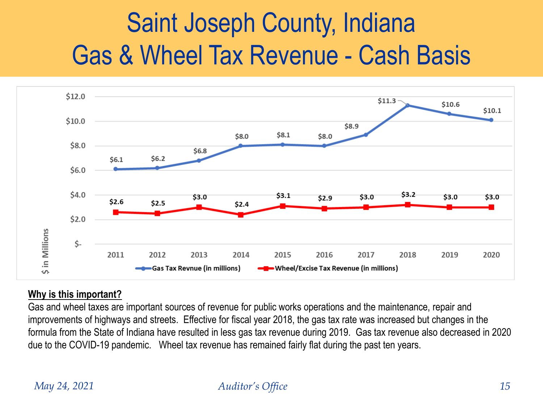# Saint Joseph County, Indiana Gas & Wheel Tax Revenue - Cash Basis



### **Why is this important?**

Gas and wheel taxes are important sources of revenue for public works operations and the maintenance, repair and improvements of highways and streets. Effective for fiscal year 2018, the gas tax rate was increased but changes in the formula from the State of Indiana have resulted in less gas tax revenue during 2019. Gas tax revenue also decreased in 2020 due to the COVID-19 pandemic. Wheel tax revenue has remained fairly flat during the past ten years.